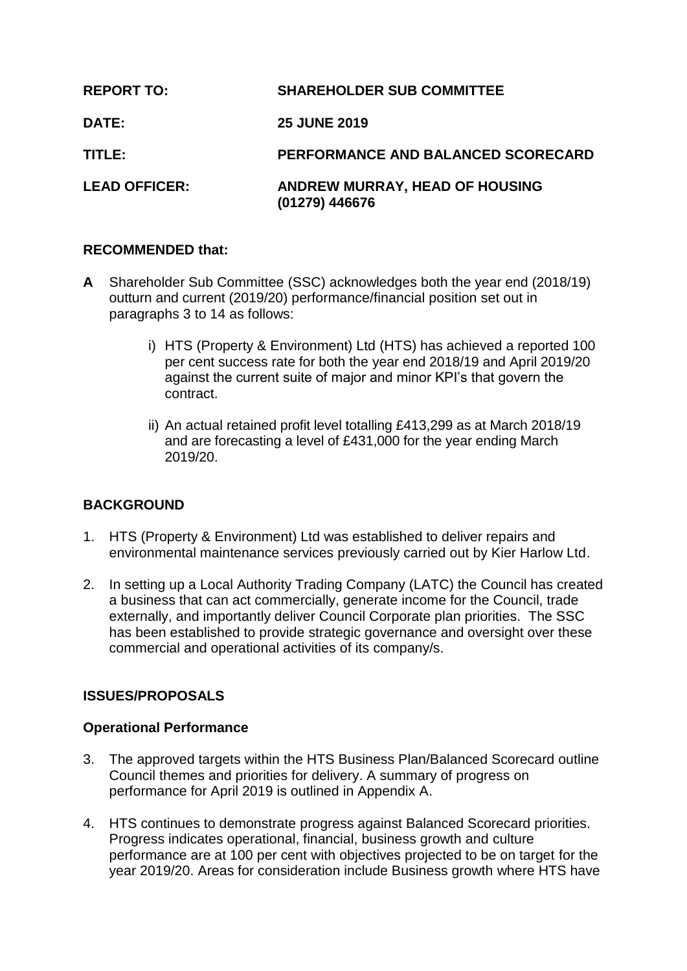| <b>REPORT TO:</b>    | <b>SHAREHOLDER SUB COMMITTEE</b>                 |
|----------------------|--------------------------------------------------|
| <b>DATE:</b>         | <b>25 JUNE 2019</b>                              |
| TITLE:               | PERFORMANCE AND BALANCED SCORECARD               |
| <b>LEAD OFFICER:</b> | ANDREW MURRAY, HEAD OF HOUSING<br>(01279) 446676 |

### **RECOMMENDED that:**

- **A** Shareholder Sub Committee (SSC) acknowledges both the year end (2018/19) outturn and current (2019/20) performance/financial position set out in paragraphs 3 to 14 as follows:
	- i) HTS (Property & Environment) Ltd (HTS) has achieved a reported 100 per cent success rate for both the year end 2018/19 and April 2019/20 against the current suite of major and minor KPI's that govern the contract.
	- ii) An actual retained profit level totalling £413,299 as at March 2018/19 and are forecasting a level of £431,000 for the year ending March 2019/20.

# **BACKGROUND**

- 1. HTS (Property & Environment) Ltd was established to deliver repairs and environmental maintenance services previously carried out by Kier Harlow Ltd.
- 2. In setting up a Local Authority Trading Company (LATC) the Council has created a business that can act commercially, generate income for the Council, trade externally, and importantly deliver Council Corporate plan priorities. The SSC has been established to provide strategic governance and oversight over these commercial and operational activities of its company/s.

# **ISSUES/PROPOSALS**

### **Operational Performance**

- 3. The approved targets within the HTS Business Plan/Balanced Scorecard outline Council themes and priorities for delivery. A summary of progress on performance for April 2019 is outlined in Appendix A.
- 4. HTS continues to demonstrate progress against Balanced Scorecard priorities. Progress indicates operational, financial, business growth and culture performance are at 100 per cent with objectives projected to be on target for the year 2019/20. Areas for consideration include Business growth where HTS have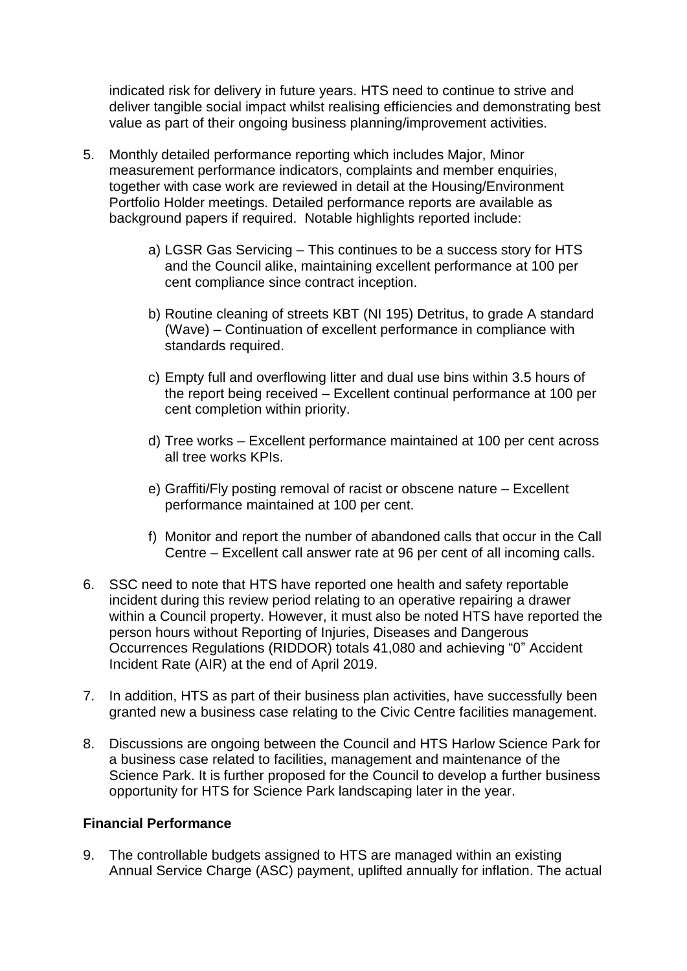indicated risk for delivery in future years. HTS need to continue to strive and deliver tangible social impact whilst realising efficiencies and demonstrating best value as part of their ongoing business planning/improvement activities.

- 5. Monthly detailed performance reporting which includes Major, Minor measurement performance indicators, complaints and member enquiries, together with case work are reviewed in detail at the Housing/Environment Portfolio Holder meetings. Detailed performance reports are available as background papers if required. Notable highlights reported include:
	- a) LGSR Gas Servicing This continues to be a success story for HTS and the Council alike, maintaining excellent performance at 100 per cent compliance since contract inception.
	- b) Routine cleaning of streets KBT (NI 195) Detritus, to grade A standard (Wave) – Continuation of excellent performance in compliance with standards required.
	- c) Empty full and overflowing litter and dual use bins within 3.5 hours of the report being received – Excellent continual performance at 100 per cent completion within priority.
	- d) Tree works Excellent performance maintained at 100 per cent across all tree works KPIs.
	- e) Graffiti/Fly posting removal of racist or obscene nature Excellent performance maintained at 100 per cent.
	- f) Monitor and report the number of abandoned calls that occur in the Call Centre – Excellent call answer rate at 96 per cent of all incoming calls.
- 6. SSC need to note that HTS have reported one health and safety reportable incident during this review period relating to an operative repairing a drawer within a Council property. However, it must also be noted HTS have reported the person hours without Reporting of Injuries, Diseases and Dangerous Occurrences Regulations (RIDDOR) totals 41,080 and achieving "0" Accident Incident Rate (AIR) at the end of April 2019.
- 7. In addition, HTS as part of their business plan activities, have successfully been granted new a business case relating to the Civic Centre facilities management.
- 8. Discussions are ongoing between the Council and HTS Harlow Science Park for a business case related to facilities, management and maintenance of the Science Park. It is further proposed for the Council to develop a further business opportunity for HTS for Science Park landscaping later in the year.

### **Financial Performance**

9. The controllable budgets assigned to HTS are managed within an existing Annual Service Charge (ASC) payment, uplifted annually for inflation. The actual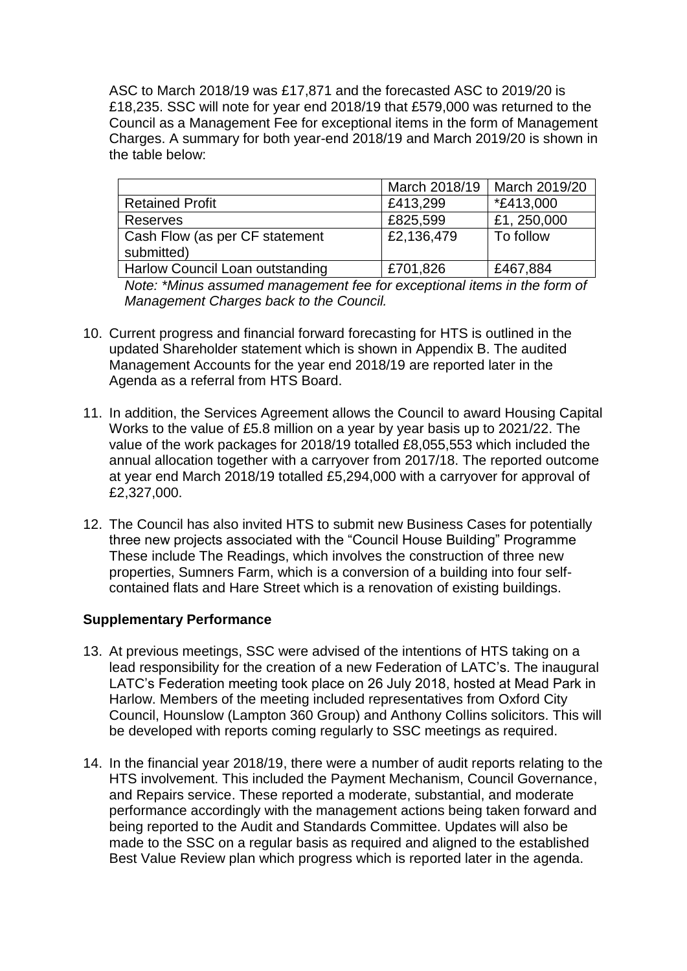ASC to March 2018/19 was £17,871 and the forecasted ASC to 2019/20 is £18,235. SSC will note for year end 2018/19 that £579,000 was returned to the Council as a Management Fee for exceptional items in the form of Management Charges. A summary for both year-end 2018/19 and March 2019/20 is shown in the table below:

|                                        | March 2018/19 | March 2019/20     |
|----------------------------------------|---------------|-------------------|
| <b>Retained Profit</b>                 | £413,299      | <i>*</i> £413,000 |
| <b>Reserves</b>                        | £825,599      | £1, 250,000       |
| Cash Flow (as per CF statement         | £2,136,479    | To follow         |
| submitted)                             |               |                   |
| <b>Harlow Council Loan outstanding</b> | £701,826      | £467,884          |

*Note: \*Minus assumed management fee for exceptional items in the form of Management Charges back to the Council.*

- 10. Current progress and financial forward forecasting for HTS is outlined in the updated Shareholder statement which is shown in Appendix B. The audited Management Accounts for the year end 2018/19 are reported later in the Agenda as a referral from HTS Board.
- 11. In addition, the Services Agreement allows the Council to award Housing Capital Works to the value of £5.8 million on a year by year basis up to 2021/22. The value of the work packages for 2018/19 totalled £8,055,553 which included the annual allocation together with a carryover from 2017/18. The reported outcome at year end March 2018/19 totalled £5,294,000 with a carryover for approval of £2,327,000.
- 12. The Council has also invited HTS to submit new Business Cases for potentially three new projects associated with the "Council House Building" Programme These include The Readings, which involves the construction of three new properties, Sumners Farm, which is a conversion of a building into four selfcontained flats and Hare Street which is a renovation of existing buildings.

### **Supplementary Performance**

- 13. At previous meetings, SSC were advised of the intentions of HTS taking on a lead responsibility for the creation of a new Federation of LATC's. The inaugural LATC's Federation meeting took place on 26 July 2018, hosted at Mead Park in Harlow. Members of the meeting included representatives from Oxford City Council, Hounslow (Lampton 360 Group) and Anthony Collins solicitors. This will be developed with reports coming regularly to SSC meetings as required.
- 14. In the financial year 2018/19, there were a number of audit reports relating to the HTS involvement. This included the Payment Mechanism, Council Governance, and Repairs service. These reported a moderate, substantial, and moderate performance accordingly with the management actions being taken forward and being reported to the Audit and Standards Committee. Updates will also be made to the SSC on a regular basis as required and aligned to the established Best Value Review plan which progress which is reported later in the agenda.